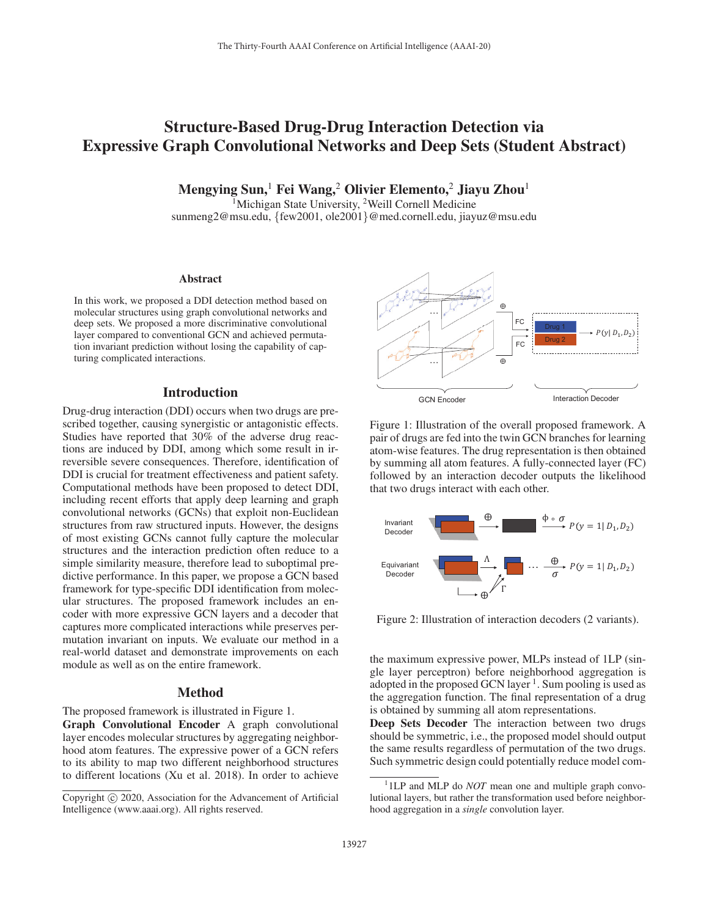# Structure-Based Drug-Drug Interaction Detection via Expressive Graph Convolutional Networks and Deep Sets (Student Abstract)

Mengying Sun,<sup>1</sup> Fei Wang,<sup>2</sup> Olivier Elemento,<sup>2</sup> Jiayu Zhou<sup>1</sup>

<sup>1</sup>Michigan State University, <sup>2</sup>Weill Cornell Medicine

sunmeng2@msu.edu, {few2001, ole2001}@med.cornell.edu, jiayuz@msu.edu

#### Abstract

In this work, we proposed a DDI detection method based on molecular structures using graph convolutional networks and deep sets. We proposed a more discriminative convolutional layer compared to conventional GCN and achieved permutation invariant prediction without losing the capability of capturing complicated interactions.

#### Introduction

Drug-drug interaction (DDI) occurs when two drugs are prescribed together, causing synergistic or antagonistic effects. Studies have reported that 30% of the adverse drug reactions are induced by DDI, among which some result in irreversible severe consequences. Therefore, identification of DDI is crucial for treatment effectiveness and patient safety. Computational methods have been proposed to detect DDI, including recent efforts that apply deep learning and graph convolutional networks (GCNs) that exploit non-Euclidean structures from raw structured inputs. However, the designs of most existing GCNs cannot fully capture the molecular structures and the interaction prediction often reduce to a simple similarity measure, therefore lead to suboptimal predictive performance. In this paper, we propose a GCN based framework for type-specific DDI identification from molecular structures. The proposed framework includes an encoder with more expressive GCN layers and a decoder that captures more complicated interactions while preserves permutation invariant on inputs. We evaluate our method in a real-world dataset and demonstrate improvements on each module as well as on the entire framework.

## Method

The proposed framework is illustrated in Figure 1.

Graph Convolutional Encoder A graph convolutional layer encodes molecular structures by aggregating neighborhood atom features. The expressive power of a GCN refers to its ability to map two different neighborhood structures to different locations (Xu et al. 2018). In order to achieve



Figure 1: Illustration of the overall proposed framework. A pair of drugs are fed into the twin GCN branches for learning atom-wise features. The drug representation is then obtained by summing all atom features. A fully-connected layer (FC) followed by an interaction decoder outputs the likelihood that two drugs interact with each other.



Figure 2: Illustration of interaction decoders (2 variants).

the maximum expressive power, MLPs instead of 1LP (single layer perceptron) before neighborhood aggregation is adopted in the proposed GCN layer  $<sup>1</sup>$ . Sum pooling is used as</sup> the aggregation function. The final representation of a drug is obtained by summing all atom representations.

Deep Sets Decoder The interaction between two drugs should be symmetric, i.e., the proposed model should output the same results regardless of permutation of the two drugs. Such symmetric design could potentially reduce model com-

Copyright  $\odot$  2020, Association for the Advancement of Artificial Intelligence (www.aaai.org). All rights reserved.

<sup>&</sup>lt;sup>1</sup> 1LP and MLP do *NOT* mean one and multiple graph convo-<sup>1</sup> 1LP and MLP do *NOT* mean one and multiple graph convo-<br>lutional layers, but rather the transformation used before neighborhood aggregation in a *single* convolution layer.